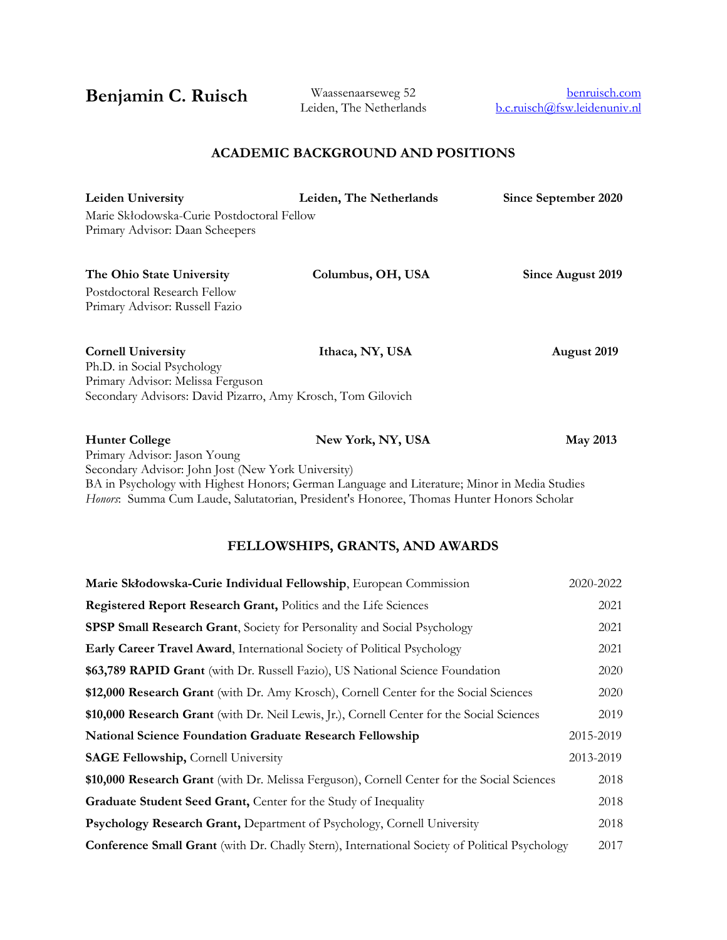**Benjamin C. Ruisch** Waassenaarseweg 52

Leiden, The Netherlands

# **ACADEMIC BACKGROUND AND POSITIONS**

| <b>Leiden University</b><br>Marie Skłodowska-Curie Postdoctoral Fellow<br>Primary Advisor: Daan Scheepers | Leiden, The Netherlands                                                                      | Since September 2020     |
|-----------------------------------------------------------------------------------------------------------|----------------------------------------------------------------------------------------------|--------------------------|
| The Ohio State University                                                                                 | Columbus, OH, USA                                                                            | <b>Since August 2019</b> |
| Postdoctoral Research Fellow                                                                              |                                                                                              |                          |
| Primary Advisor: Russell Fazio                                                                            |                                                                                              |                          |
| <b>Cornell University</b>                                                                                 | Ithaca, NY, USA                                                                              | <b>August 2019</b>       |
| Ph.D. in Social Psychology                                                                                |                                                                                              |                          |
| Primary Advisor: Melissa Ferguson                                                                         |                                                                                              |                          |
| Secondary Advisors: David Pizarro, Amy Krosch, Tom Gilovich                                               |                                                                                              |                          |
| <b>Hunter College</b>                                                                                     | New York, NY, USA                                                                            | <b>May 2013</b>          |
| Primary Advisor: Jason Young                                                                              |                                                                                              |                          |
| Secondary Advisor: John Jost (New York University)                                                        |                                                                                              |                          |
|                                                                                                           | BA in Psychology with Highest Honors; German Language and Literature; Minor in Media Studies |                          |
|                                                                                                           | Honors: Summa Cum Laude, Salutatorian, President's Honoree, Thomas Hunter Honors Scholar     |                          |

## **FELLOWSHIPS, GRANTS, AND AWARDS**

| Marie Skłodowska-Curie Individual Fellowship, European Commission                                    | 2020-2022 |
|------------------------------------------------------------------------------------------------------|-----------|
| Registered Report Research Grant, Politics and the Life Sciences                                     | 2021      |
| <b>SPSP Small Research Grant, Society for Personality and Social Psychology</b>                      | 2021      |
| Early Career Travel Award, International Society of Political Psychology                             | 2021      |
| \$63,789 RAPID Grant (with Dr. Russell Fazio), US National Science Foundation                        | 2020      |
| \$12,000 Research Grant (with Dr. Amy Krosch), Cornell Center for the Social Sciences                | 2020      |
| \$10,000 Research Grant (with Dr. Neil Lewis, Jr.), Cornell Center for the Social Sciences           | 2019      |
| <b>National Science Foundation Graduate Research Fellowship</b>                                      | 2015-2019 |
| <b>SAGE Fellowship, Cornell University</b>                                                           | 2013-2019 |
| \$10,000 Research Grant (with Dr. Melissa Ferguson), Cornell Center for the Social Sciences          | 2018      |
| Graduate Student Seed Grant, Center for the Study of Inequality                                      | 2018      |
| Psychology Research Grant, Department of Psychology, Cornell University                              | 2018      |
| <b>Conference Small Grant</b> (with Dr. Chadly Stern), International Society of Political Psychology | 2017      |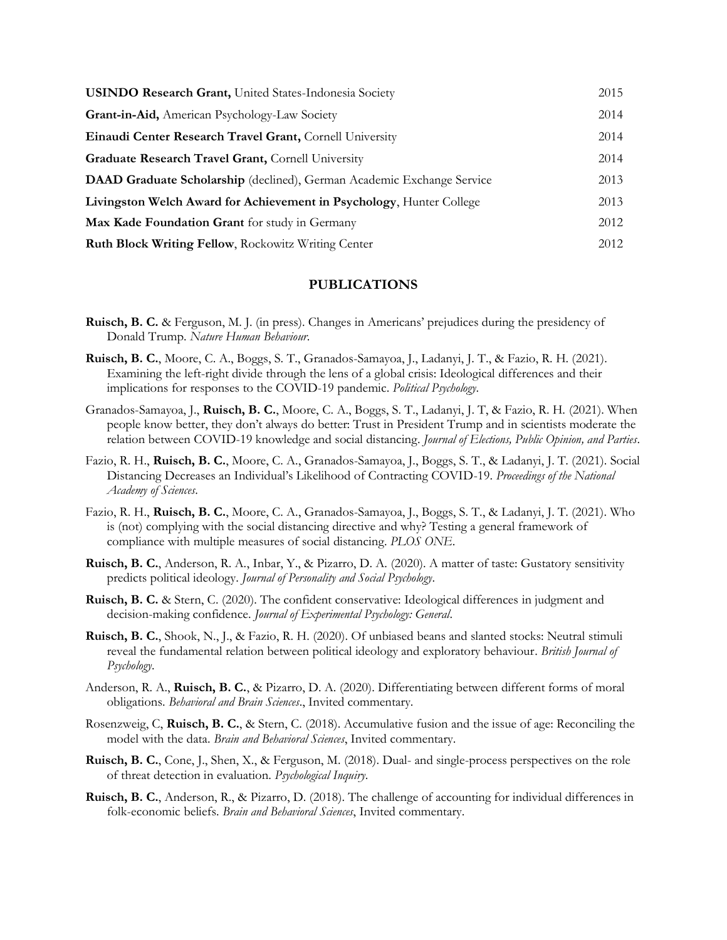| 2015 |
|------|
| 2014 |
| 2014 |
| 2014 |
| 2013 |
| 2013 |
| 2012 |
| 2012 |
|      |

## **PUBLICATIONS**

- **Ruisch, B. C.** & Ferguson, M. J. (in press). Changes in Americans' prejudices during the presidency of Donald Trump. *Nature Human Behaviour*.
- **Ruisch, B. C.**, Moore, C. A., Boggs, S. T., Granados-Samayoa, J., Ladanyi, J. T., & Fazio, R. H. (2021). Examining the left-right divide through the lens of a global crisis: Ideological differences and their implications for responses to the COVID-19 pandemic. *Political Psychology*.
- Granados-Samayoa, J., **Ruisch, B. C.**, Moore, C. A., Boggs, S. T., Ladanyi, J. T, & Fazio, R. H. (2021). When people know better, they don't always do better: Trust in President Trump and in scientists moderate the relation between COVID-19 knowledge and social distancing. *Journal of Elections, Public Opinion, and Parties*.
- Fazio, R. H., **Ruisch, B. C.**, Moore, C. A., Granados-Samayoa, J., Boggs, S. T., & Ladanyi, J. T. (2021). Social Distancing Decreases an Individual's Likelihood of Contracting COVID-19. *Proceedings of the National Academy of Sciences*.
- Fazio, R. H., **Ruisch, B. C.**, Moore, C. A., Granados-Samayoa, J., Boggs, S. T., & Ladanyi, J. T. (2021). Who is (not) complying with the social distancing directive and why? Testing a general framework of compliance with multiple measures of social distancing. *PLOS ONE*.
- **Ruisch, B. C.**, Anderson, R. A., Inbar, Y., & Pizarro, D. A. (2020). A matter of taste: Gustatory sensitivity predicts political ideology. *Journal of Personality and Social Psychology*.
- **Ruisch, B. C.** & Stern, C. (2020). The confident conservative: Ideological differences in judgment and decision-making confidence. *Journal of Experimental Psychology: General*.
- **Ruisch, B. C.**, Shook, N., J., & Fazio, R. H. (2020). Of unbiased beans and slanted stocks: Neutral stimuli reveal the fundamental relation between political ideology and exploratory behaviour. *British Journal of Psychology*.
- Anderson, R. A., **Ruisch, B. C.**, & Pizarro, D. A. (2020). Differentiating between different forms of moral obligations. *Behavioral and Brain Sciences*., Invited commentary.
- Rosenzweig, C, **Ruisch, B. C.**, & Stern, C. (2018). Accumulative fusion and the issue of age: Reconciling the model with the data. *Brain and Behavioral Sciences*, Invited commentary.
- **Ruisch, B. C.**, Cone, J., Shen, X., & Ferguson, M. (2018). Dual- and single-process perspectives on the role of threat detection in evaluation. *Psychological Inquiry*.
- **Ruisch, B. C.**, Anderson, R., & Pizarro, D. (2018). The challenge of accounting for individual differences in folk-economic beliefs. *Brain and Behavioral Sciences*, Invited commentary.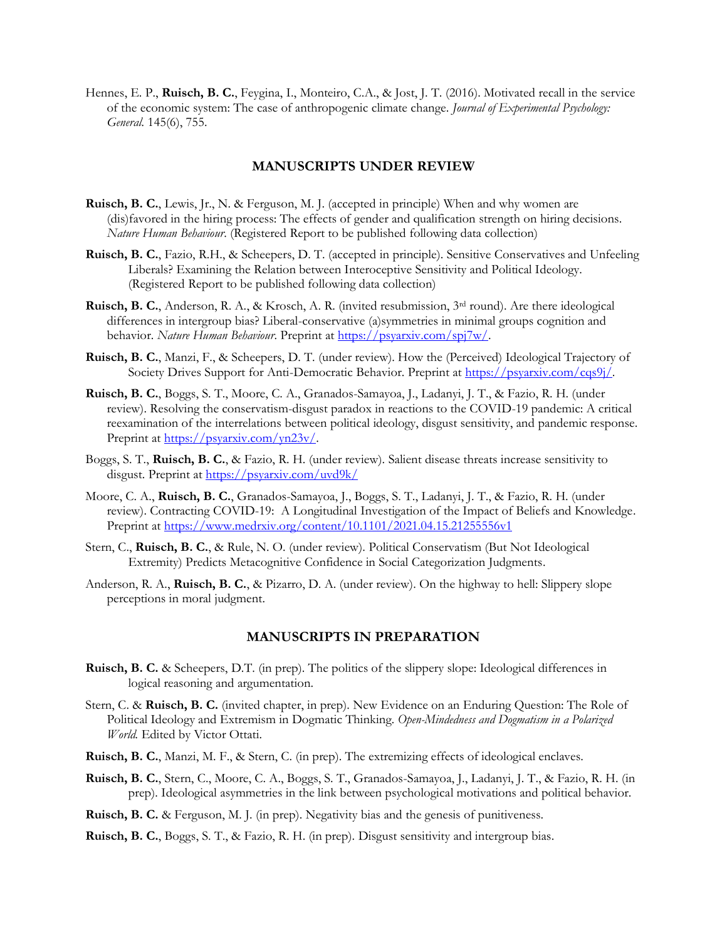Hennes, E. P., **Ruisch, B. C.**, Feygina, I., Monteiro, C.A., & Jost, J. T. (2016). Motivated recall in the service of the economic system: The case of anthropogenic climate change. *Journal of Experimental Psychology: General.* 145(6), 755.

#### **MANUSCRIPTS UNDER REVIEW**

- **Ruisch, B. C.**, Lewis, Jr., N. & Ferguson, M. J. (accepted in principle) When and why women are (dis)favored in the hiring process: The effects of gender and qualification strength on hiring decisions. *Nature Human Behaviour*. (Registered Report to be published following data collection)
- **Ruisch, B. C.**, Fazio, R.H., & Scheepers, D. T. (accepted in principle). Sensitive Conservatives and Unfeeling Liberals? Examining the Relation between Interoceptive Sensitivity and Political Ideology. (Registered Report to be published following data collection)
- **Ruisch, B. C.**, Anderson, R. A., & Krosch, A. R. (invited resubmission, 3rd round). Are there ideological differences in intergroup bias? Liberal-conservative (a)symmetries in minimal groups cognition and behavior. *Nature Human Behaviour*. Preprint at [https://psyarxiv.com/spj7w/.](https://psyarxiv.com/spj7w/)
- **Ruisch, B. C.**, Manzi, F., & Scheepers, D. T. (under review). How the (Perceived) Ideological Trajectory of Society Drives Support for Anti-Democratic Behavior. Preprint at [https://psyarxiv.com/cqs9j/.](https://psyarxiv.com/cqs9j/)
- **Ruisch, B. C.**, Boggs, S. T., Moore, C. A., Granados-Samayoa, J., Ladanyi, J. T., & Fazio, R. H. (under review). Resolving the conservatism-disgust paradox in reactions to the COVID-19 pandemic: A critical reexamination of the interrelations between political ideology, disgust sensitivity, and pandemic response. Preprint at [https://psyarxiv.com/yn23v/.](https://psyarxiv.com/yn23v/)
- Boggs, S. T., **Ruisch, B. C.**, & Fazio, R. H. (under review). Salient disease threats increase sensitivity to disgust. Preprint at<https://psyarxiv.com/uvd9k/>
- Moore, C. A., **Ruisch, B. C.**, Granados-Samayoa, J., Boggs, S. T., Ladanyi, J. T., & Fazio, R. H. (under review). Contracting COVID-19: A Longitudinal Investigation of the Impact of Beliefs and Knowledge. Preprint at<https://www.medrxiv.org/content/10.1101/2021.04.15.21255556v1>
- Stern, C., **Ruisch, B. C.**, & Rule, N. O. (under review). Political Conservatism (But Not Ideological Extremity) Predicts Metacognitive Confidence in Social Categorization Judgments.
- Anderson, R. A., **Ruisch, B. C.**, & Pizarro, D. A. (under review). On the highway to hell: Slippery slope perceptions in moral judgment.

#### **MANUSCRIPTS IN PREPARATION**

- **Ruisch, B. C.** & Scheepers, D.T. (in prep). The politics of the slippery slope: Ideological differences in logical reasoning and argumentation.
- Stern, C. & **Ruisch, B. C.** (invited chapter, in prep). New Evidence on an Enduring Question: The Role of Political Ideology and Extremism in Dogmatic Thinking*. Open-Mindedness and Dogmatism in a Polarized World.* Edited by Victor Ottati.
- **Ruisch, B. C.**, Manzi, M. F., & Stern, C. (in prep). The extremizing effects of ideological enclaves.
- **Ruisch, B. C.**, Stern, C., Moore, C. A., Boggs, S. T., Granados-Samayoa, J., Ladanyi, J. T., & Fazio, R. H. (in prep). Ideological asymmetries in the link between psychological motivations and political behavior.
- **Ruisch, B. C.** & Ferguson, M. J. (in prep). Negativity bias and the genesis of punitiveness.
- **Ruisch, B. C.**, Boggs, S. T., & Fazio, R. H. (in prep). Disgust sensitivity and intergroup bias.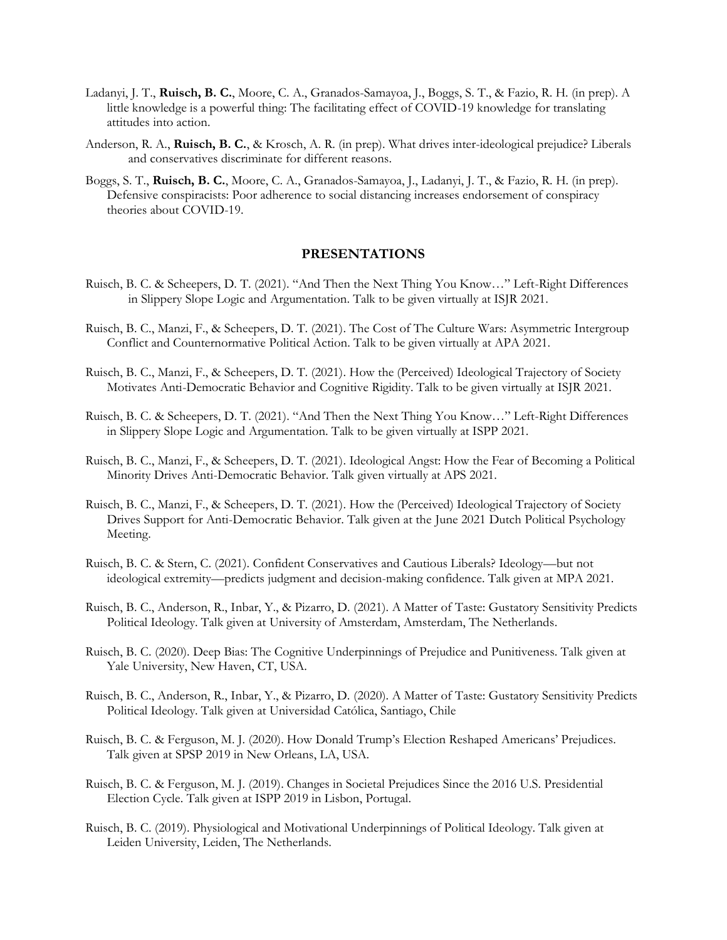- Ladanyi, J. T., **Ruisch, B. C.**, Moore, C. A., Granados-Samayoa, J., Boggs, S. T., & Fazio, R. H. (in prep). A little knowledge is a powerful thing: The facilitating effect of COVID-19 knowledge for translating attitudes into action.
- Anderson, R. A., **Ruisch, B. C.**, & Krosch, A. R. (in prep). What drives inter-ideological prejudice? Liberals and conservatives discriminate for different reasons.
- Boggs, S. T., **Ruisch, B. C.**, Moore, C. A., Granados-Samayoa, J., Ladanyi, J. T., & Fazio, R. H. (in prep). Defensive conspiracists: Poor adherence to social distancing increases endorsement of conspiracy theories about COVID-19.

## **PRESENTATIONS**

- Ruisch, B. C. & Scheepers, D. T. (2021). "And Then the Next Thing You Know…" Left-Right Differences in Slippery Slope Logic and Argumentation. Talk to be given virtually at ISJR 2021.
- Ruisch, B. C., Manzi, F., & Scheepers, D. T. (2021). The Cost of The Culture Wars: Asymmetric Intergroup Conflict and Counternormative Political Action. Talk to be given virtually at APA 2021.
- Ruisch, B. C., Manzi, F., & Scheepers, D. T. (2021). How the (Perceived) Ideological Trajectory of Society Motivates Anti-Democratic Behavior and Cognitive Rigidity. Talk to be given virtually at ISJR 2021.
- Ruisch, B. C. & Scheepers, D. T. (2021). "And Then the Next Thing You Know…" Left-Right Differences in Slippery Slope Logic and Argumentation. Talk to be given virtually at ISPP 2021.
- Ruisch, B. C., Manzi, F., & Scheepers, D. T. (2021). Ideological Angst: How the Fear of Becoming a Political Minority Drives Anti-Democratic Behavior. Talk given virtually at APS 2021.
- Ruisch, B. C., Manzi, F., & Scheepers, D. T. (2021). How the (Perceived) Ideological Trajectory of Society Drives Support for Anti-Democratic Behavior. Talk given at the June 2021 Dutch Political Psychology Meeting.
- Ruisch, B. C. & Stern, C. (2021). Confident Conservatives and Cautious Liberals? Ideology—but not ideological extremity—predicts judgment and decision-making confidence. Talk given at MPA 2021.
- Ruisch, B. C., Anderson, R., Inbar, Y., & Pizarro, D. (2021). A Matter of Taste: Gustatory Sensitivity Predicts Political Ideology. Talk given at University of Amsterdam, Amsterdam, The Netherlands.
- Ruisch, B. C. (2020). Deep Bias: The Cognitive Underpinnings of Prejudice and Punitiveness. Talk given at Yale University, New Haven, CT, USA.
- Ruisch, B. C., Anderson, R., Inbar, Y., & Pizarro, D. (2020). A Matter of Taste: Gustatory Sensitivity Predicts Political Ideology. Talk given at Universidad Católica, Santiago, Chile
- Ruisch, B. C. & Ferguson, M. J. (2020). How Donald Trump's Election Reshaped Americans' Prejudices. Talk given at SPSP 2019 in New Orleans, LA, USA.
- Ruisch, B. C. & Ferguson, M. J. (2019). Changes in Societal Prejudices Since the 2016 U.S. Presidential Election Cycle. Talk given at ISPP 2019 in Lisbon, Portugal.
- Ruisch, B. C. (2019). Physiological and Motivational Underpinnings of Political Ideology. Talk given at Leiden University, Leiden, The Netherlands.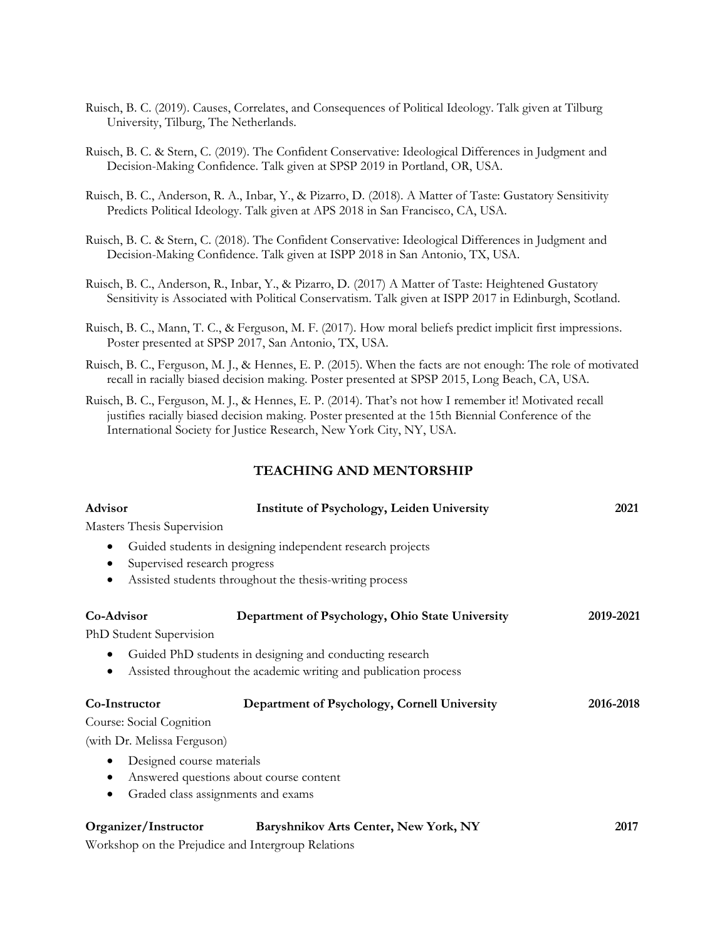- Ruisch, B. C. (2019). Causes, Correlates, and Consequences of Political Ideology. Talk given at Tilburg University, Tilburg, The Netherlands.
- Ruisch, B. C. & Stern, C. (2019). The Confident Conservative: Ideological Differences in Judgment and Decision-Making Confidence. Talk given at SPSP 2019 in Portland, OR, USA.
- Ruisch, B. C., Anderson, R. A., Inbar, Y., & Pizarro, D. (2018). A Matter of Taste: Gustatory Sensitivity Predicts Political Ideology. Talk given at APS 2018 in San Francisco, CA, USA.
- Ruisch, B. C. & Stern, C. (2018). The Confident Conservative: Ideological Differences in Judgment and Decision-Making Confidence. Talk given at ISPP 2018 in San Antonio, TX, USA.
- Ruisch, B. C., Anderson, R., Inbar, Y., & Pizarro, D. (2017) A Matter of Taste: Heightened Gustatory Sensitivity is Associated with Political Conservatism. Talk given at ISPP 2017 in Edinburgh, Scotland.
- Ruisch, B. C., Mann, T. C., & Ferguson, M. F. (2017). How moral beliefs predict implicit first impressions. Poster presented at SPSP 2017, San Antonio, TX, USA.
- Ruisch, B. C., Ferguson, M. J., & Hennes, E. P. (2015). When the facts are not enough: The role of motivated recall in racially biased decision making. Poster presented at SPSP 2015, Long Beach, CA, USA.

Ruisch, B. C., Ferguson, M. J., & Hennes, E. P. (2014). That's not how I remember it! Motivated recall justifies racially biased decision making. Poster presented at the 15th Biennial Conference of the International Society for Justice Research, New York City, NY, USA.

## **TEACHING AND MENTORSHIP**

| <b>Advisor</b>                                      | <b>Institute of Psychology, Leiden University</b>                                                                            | 2021      |
|-----------------------------------------------------|------------------------------------------------------------------------------------------------------------------------------|-----------|
| Masters Thesis Supervision                          |                                                                                                                              |           |
| ٠<br>Supervised research progress<br>٠<br>$\bullet$ | Guided students in designing independent research projects<br>Assisted students throughout the thesis-writing process        |           |
| Co-Advisor                                          | Department of Psychology, Ohio State University                                                                              | 2019-2021 |
| PhD Student Supervision                             |                                                                                                                              |           |
| ٠<br>$\bullet$                                      | Guided PhD students in designing and conducting research<br>Assisted throughout the academic writing and publication process |           |
| Co-Instructor                                       | Department of Psychology, Cornell University                                                                                 | 2016-2018 |
| Course: Social Cognition                            |                                                                                                                              |           |
| (with Dr. Melissa Ferguson)                         |                                                                                                                              |           |
| Designed course materials<br>٠                      |                                                                                                                              |           |
| ٠                                                   | Answered questions about course content                                                                                      |           |
| $\bullet$                                           | Graded class assignments and exams                                                                                           |           |
| Organizer/Instructor                                | Baryshnikov Arts Center, New York, NY                                                                                        | 2017      |
|                                                     | Workshop on the Prejudice and Intergroup Relations                                                                           |           |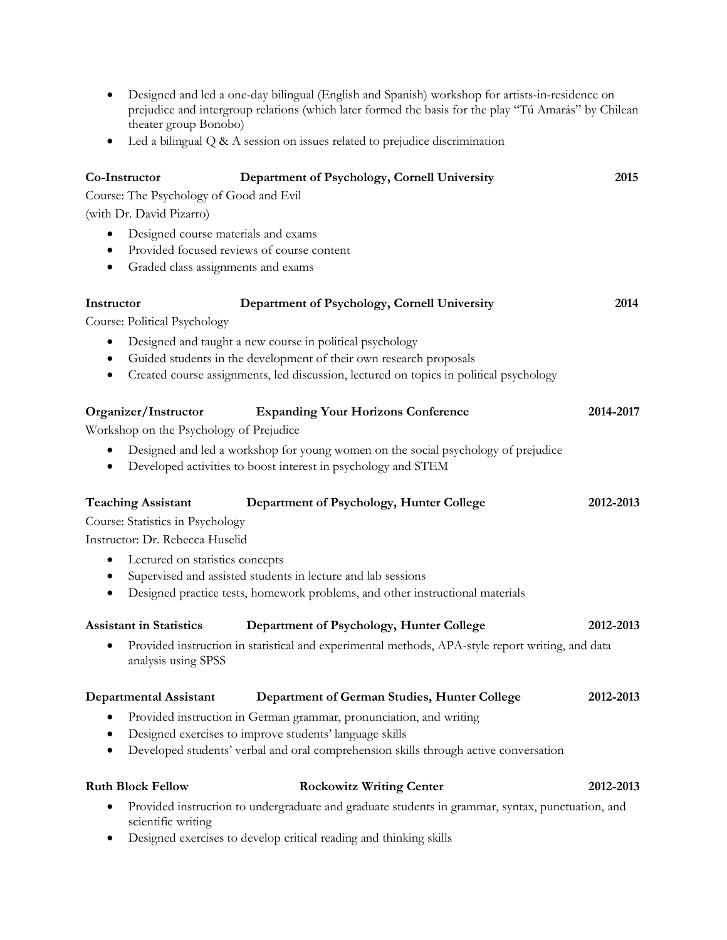- Designed and led a one-day bilingual (English and Spanish) workshop for artists-in-residence on prejudice and intergroup relations (which later formed the basis for the play "Tú Amarás" by Chilean theater group Bonobo)
- Led a bilingual Q & A session on issues related to prejudice discrimination

| Co-Instructor                           | Department of Psychology, Cornell University                                                     | 2015      |
|-----------------------------------------|--------------------------------------------------------------------------------------------------|-----------|
| Course: The Psychology of Good and Evil |                                                                                                  |           |
| (with Dr. David Pizarro)                |                                                                                                  |           |
| Designed course materials and exams     |                                                                                                  |           |
|                                         | Provided focused reviews of course content                                                       |           |
| Graded class assignments and exams      |                                                                                                  |           |
| Instructor                              | Department of Psychology, Cornell University                                                     | 2014      |
| Course: Political Psychology            |                                                                                                  |           |
|                                         | Designed and taught a new course in political psychology                                         |           |
| ٠                                       | Guided students in the development of their own research proposals                               |           |
| ٠                                       | Created course assignments, led discussion, lectured on topics in political psychology           |           |
| Organizer/Instructor                    | <b>Expanding Your Horizons Conference</b>                                                        | 2014-2017 |
| Workshop on the Psychology of Prejudice |                                                                                                  |           |
|                                         | Designed and led a workshop for young women on the social psychology of prejudice                |           |
|                                         | Developed activities to boost interest in psychology and STEM                                    |           |
| <b>Teaching Assistant</b>               | Department of Psychology, Hunter College                                                         | 2012-2013 |
| Course: Statistics in Psychology        |                                                                                                  |           |
| Instructor: Dr. Rebecca Huselid         |                                                                                                  |           |
| Lectured on statistics concepts         |                                                                                                  |           |
| ٠                                       | Supervised and assisted students in lecture and lab sessions                                     |           |
| ٠                                       | Designed practice tests, homework problems, and other instructional materials                    |           |
| <b>Assistant in Statistics</b>          | Department of Psychology, Hunter College                                                         | 2012-2013 |
| analysis using SPSS                     | Provided instruction in statistical and experimental methods, APA-style report writing, and data |           |
| <b>Departmental Assistant</b>           | Department of German Studies, Hunter College                                                     | 2012-2013 |
|                                         | Provided instruction in German grammar, pronunciation, and writing                               |           |
|                                         | Designed exercises to improve students' language skills                                          |           |
|                                         | Developed students' verbal and oral comprehension skills through active conversation             |           |
| <b>Ruth Block Fellow</b>                | <b>Rockowitz Writing Center</b>                                                                  | 2012-2013 |
| scientific writing                      | Provided instruction to undergraduate and graduate students in grammar, syntax, punctuation, and |           |
|                                         | Designed exercises to develop critical reading and thinking skills                               |           |